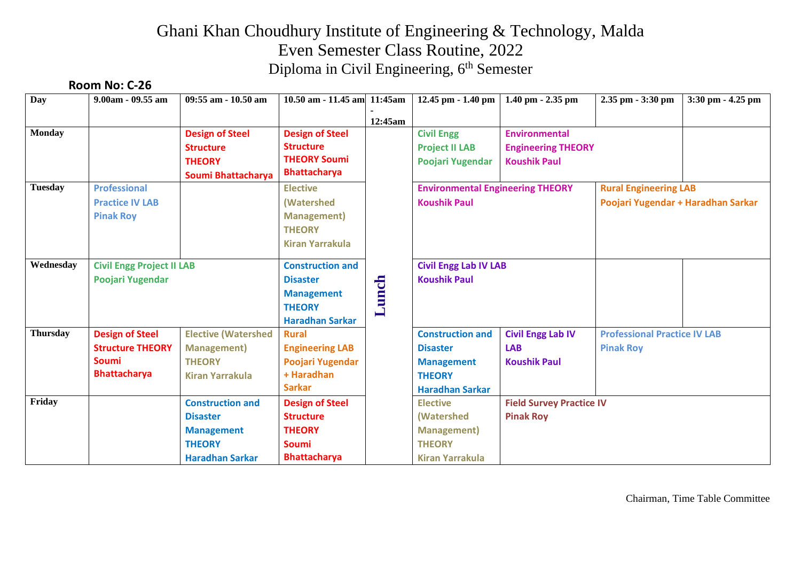## Ghani Khan Choudhury Institute of Engineering & Technology, Malda Even Semester Class Routine, 2022 Diploma in Civil Engineering, 6<sup>th</sup> Semester

#### **Room No: C-26**

| Day             | $9.00am - 09.55 am$              | 09:55 am - 10.50 am        | 10.50 am - 11.45 am 11:45 am |         | $12.45$ pm $-1.40$ pm                              | $1.40$ pm $- 2.35$ pm     | 2.35 pm - 3:30 pm                   | $3:30$ pm $-4.25$ pm |
|-----------------|----------------------------------|----------------------------|------------------------------|---------|----------------------------------------------------|---------------------------|-------------------------------------|----------------------|
|                 |                                  |                            |                              | 12:45am |                                                    |                           |                                     |                      |
| <b>Monday</b>   |                                  | <b>Design of Steel</b>     | <b>Design of Steel</b>       |         | <b>Civil Engg</b>                                  | <b>Environmental</b>      |                                     |                      |
|                 |                                  | <b>Structure</b>           | <b>Structure</b>             |         | <b>Project II LAB</b>                              | <b>Engineering THEORY</b> |                                     |                      |
|                 |                                  | <b>THEORY</b>              | <b>THEORY Soumi</b>          |         | Poojari Yugendar                                   | <b>Koushik Paul</b>       |                                     |                      |
|                 |                                  | Soumi Bhattacharya         | <b>Bhattacharya</b>          |         |                                                    |                           |                                     |                      |
| <b>Tuesday</b>  | <b>Professional</b>              |                            | <b>Elective</b>              |         | <b>Environmental Engineering THEORY</b>            |                           | <b>Rural Engineering LAB</b>        |                      |
|                 | <b>Practice IV LAB</b>           |                            | (Watershed                   |         | <b>Koushik Paul</b>                                |                           | Poojari Yugendar + Haradhan Sarkar  |                      |
|                 | <b>Pinak Roy</b>                 |                            | <b>Management</b> )          |         |                                                    |                           |                                     |                      |
|                 |                                  |                            | <b>THEORY</b>                |         |                                                    |                           |                                     |                      |
|                 |                                  |                            | <b>Kiran Yarrakula</b>       |         |                                                    |                           |                                     |                      |
| Wednesday       | <b>Civil Engg Project II LAB</b> |                            | <b>Construction and</b>      |         | <b>Civil Engg Lab IV LAB</b>                       |                           |                                     |                      |
|                 | Poojari Yugendar                 |                            | <b>Disaster</b>              |         | <b>Koushik Paul</b>                                |                           |                                     |                      |
|                 |                                  |                            | <b>Management</b>            |         |                                                    |                           |                                     |                      |
|                 |                                  |                            | <b>THEORY</b>                | Lunch   |                                                    |                           |                                     |                      |
|                 |                                  |                            | <b>Haradhan Sarkar</b>       |         |                                                    |                           |                                     |                      |
| <b>Thursday</b> | <b>Design of Steel</b>           | <b>Elective (Watershed</b> | <b>Rural</b>                 |         | <b>Construction and</b>                            | <b>Civil Engg Lab IV</b>  | <b>Professional Practice IV LAB</b> |                      |
|                 | <b>Structure THEORY</b>          | <b>Management</b> )        | <b>Engineering LAB</b>       |         | <b>Disaster</b>                                    | <b>LAB</b>                | <b>Pinak Roy</b>                    |                      |
|                 | <b>Soumi</b>                     | <b>THEORY</b>              | Poojari Yugendar             |         | <b>Management</b>                                  | <b>Koushik Paul</b>       |                                     |                      |
|                 | <b>Bhattacharya</b>              | <b>Kiran Yarrakula</b>     | + Haradhan                   |         | <b>THEORY</b>                                      |                           |                                     |                      |
|                 |                                  |                            | <b>Sarkar</b>                |         | <b>Haradhan Sarkar</b>                             |                           |                                     |                      |
| Friday          |                                  | <b>Construction and</b>    | <b>Design of Steel</b>       |         | <b>Field Survey Practice IV</b><br><b>Elective</b> |                           |                                     |                      |
|                 |                                  | <b>Disaster</b>            | <b>Structure</b>             |         | <b>(Watershed)</b>                                 | <b>Pinak Roy</b>          |                                     |                      |
|                 |                                  | <b>Management</b>          | <b>THEORY</b>                |         | <b>Management</b> )                                |                           |                                     |                      |
|                 |                                  | <b>THEORY</b>              | <b>Soumi</b>                 |         | <b>THEORY</b>                                      |                           |                                     |                      |
|                 |                                  | <b>Haradhan Sarkar</b>     | <b>Bhattacharya</b>          |         | <b>Kiran Yarrakula</b>                             |                           |                                     |                      |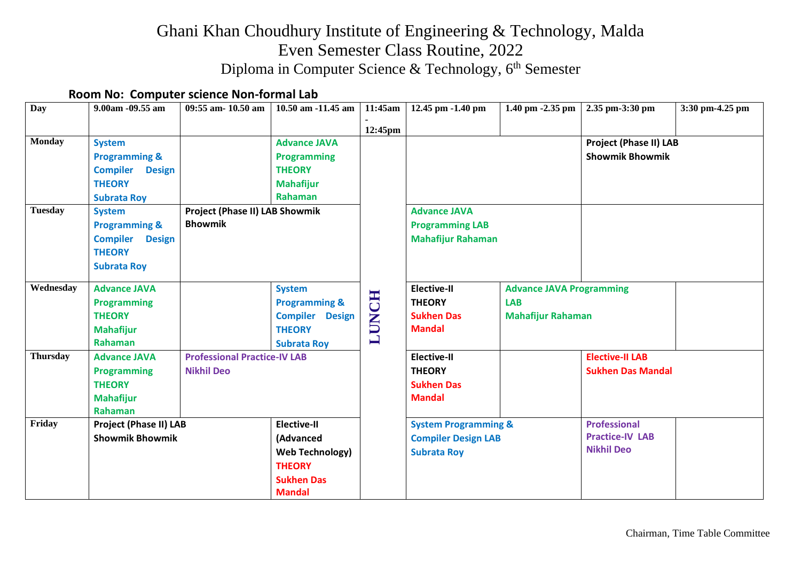## Ghani Khan Choudhury Institute of Engineering & Technology, Malda Even Semester Class Routine, 2022 Diploma in Computer Science & Technology, 6<sup>th</sup> Semester

#### **Room No: Computer science Non-formal Lab**

| Day                             | 9.00am -09.55 am                                                                                                                                                                                                                             | 09:55 am- 10.50 am                                       | 10.50 am -11.45 am                                                                                               | 11:45am<br>12:45pm | 12.45 pm -1.40 pm                                                                   | 1.40 pm -2.35 pm                                                          | 2.35 pm-3:30 pm                                                    | 3:30 pm-4.25 pm |
|---------------------------------|----------------------------------------------------------------------------------------------------------------------------------------------------------------------------------------------------------------------------------------------|----------------------------------------------------------|------------------------------------------------------------------------------------------------------------------|--------------------|-------------------------------------------------------------------------------------|---------------------------------------------------------------------------|--------------------------------------------------------------------|-----------------|
| <b>Monday</b><br><b>Tuesday</b> | <b>System</b><br><b>Programming &amp;</b><br><b>Compiler</b><br><b>Design</b><br><b>THEORY</b><br><b>Subrata Roy</b><br><b>System</b><br><b>Programming &amp;</b><br><b>Compiler</b><br><b>Design</b><br><b>THEORY</b><br><b>Subrata Roy</b> | Project (Phase II) LAB Showmik<br><b>Bhowmik</b>         | <b>Advance JAVA</b><br><b>Programming</b><br><b>THEORY</b><br><b>Mahafijur</b><br>Rahaman                        |                    | <b>Advance JAVA</b><br><b>Programming LAB</b><br><b>Mahafijur Rahaman</b>           |                                                                           | <b>Project (Phase II) LAB</b><br><b>Showmik Bhowmik</b>            |                 |
| Wednesday                       | <b>Advance JAVA</b><br><b>Programming</b><br><b>THEORY</b><br><b>Mahafijur</b><br>Rahaman                                                                                                                                                    |                                                          | <b>System</b><br><b>Programming &amp;</b><br><b>Compiler Design</b><br><b>THEORY</b><br><b>Subrata Roy</b>       | <b>LUNCH</b>       | <b>Elective-II</b><br><b>THEORY</b><br><b>Sukhen Das</b><br><b>Mandal</b>           | <b>Advance JAVA Programming</b><br><b>LAB</b><br><b>Mahafijur Rahaman</b> |                                                                    |                 |
| <b>Thursday</b>                 | <b>Advance JAVA</b><br><b>Programming</b><br><b>THEORY</b><br><b>Mahafijur</b><br>Rahaman                                                                                                                                                    | <b>Professional Practice-IV LAB</b><br><b>Nikhil Deo</b> |                                                                                                                  |                    | <b>Elective-II</b><br><b>THEORY</b><br><b>Sukhen Das</b><br><b>Mandal</b>           |                                                                           | <b>Elective-II LAB</b><br><b>Sukhen Das Mandal</b>                 |                 |
| Friday                          | <b>Project (Phase II) LAB</b><br><b>Showmik Bhowmik</b>                                                                                                                                                                                      |                                                          | <b>Elective-II</b><br>(Advanced<br><b>Web Technology)</b><br><b>THEORY</b><br><b>Sukhen Das</b><br><b>Mandal</b> |                    | <b>System Programming &amp;</b><br><b>Compiler Design LAB</b><br><b>Subrata Roy</b> |                                                                           | <b>Professional</b><br><b>Practice-IV LAB</b><br><b>Nikhil Deo</b> |                 |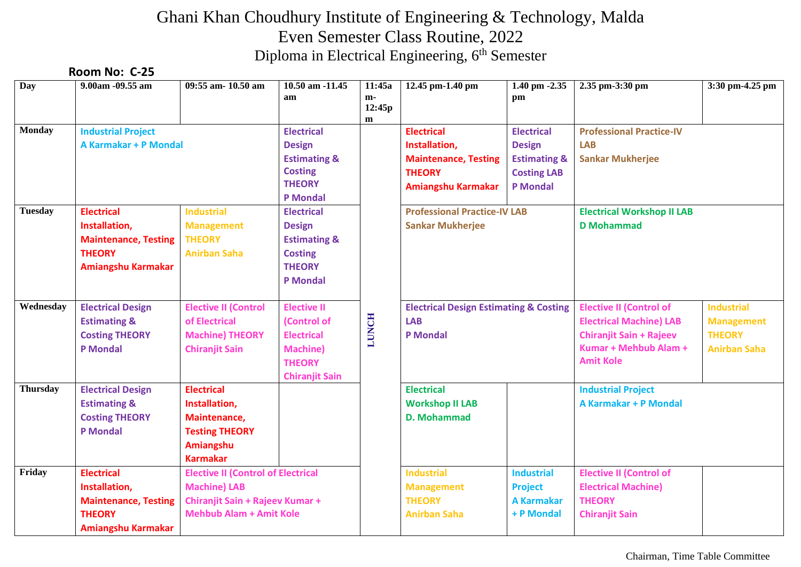# Ghani Khan Choudhury Institute of Engineering & Technology, Malda Even Semester Class Routine, 2022 Diploma in Electrical Engineering, 6<sup>th</sup> Semester

#### **Room No: C-25**

| Day             | 9.00am -09.55 am                                                                                                                          | 09:55 am- 10.50 am             | 10.50 am -11.45<br>am            | 11:45a<br>m-<br>12:45p<br>$\mathbf{m}$ | 12.45 pm-1.40 pm                                                                   | $1.40$ pm $-2.35$<br>pm         | 2.35 pm-3:30 pm                   | 3:30 pm-4.25 pm     |
|-----------------|-------------------------------------------------------------------------------------------------------------------------------------------|--------------------------------|----------------------------------|----------------------------------------|------------------------------------------------------------------------------------|---------------------------------|-----------------------------------|---------------------|
| Monday          | <b>Industrial Project</b>                                                                                                                 |                                | <b>Electrical</b>                |                                        | <b>Electrical</b>                                                                  | <b>Electrical</b>               | <b>Professional Practice-IV</b>   |                     |
|                 | <b>A Karmakar + P Mondal</b>                                                                                                              |                                | <b>Design</b>                    |                                        | Installation,                                                                      | <b>Design</b>                   | <b>LAB</b>                        |                     |
|                 |                                                                                                                                           |                                | <b>Estimating &amp;</b>          |                                        | <b>Maintenance, Testing</b>                                                        | <b>Estimating &amp;</b>         | <b>Sankar Mukherjee</b>           |                     |
|                 |                                                                                                                                           |                                | <b>Costing</b>                   |                                        | <b>THEORY</b>                                                                      | <b>Costing LAB</b>              |                                   |                     |
|                 |                                                                                                                                           |                                | <b>THEORY</b><br><b>P</b> Mondal |                                        | <b>Amiangshu Karmakar</b>                                                          | <b>P</b> Mondal                 |                                   |                     |
| <b>Tuesday</b>  | <b>Electrical</b>                                                                                                                         | <b>Industrial</b>              | <b>Electrical</b>                |                                        | <b>Professional Practice-IV LAB</b>                                                |                                 | <b>Electrical Workshop II LAB</b> |                     |
|                 | Installation,                                                                                                                             | <b>Management</b>              | <b>Design</b>                    |                                        | <b>Sankar Mukherjee</b>                                                            |                                 | <b>D</b> Mohammad                 |                     |
|                 | <b>Maintenance, Testing</b>                                                                                                               | <b>THEORY</b>                  | <b>Estimating &amp;</b>          |                                        |                                                                                    |                                 |                                   |                     |
|                 | <b>THEORY</b>                                                                                                                             | <b>Anirban Saha</b>            | <b>Costing</b>                   |                                        |                                                                                    |                                 |                                   |                     |
|                 | Amiangshu Karmakar                                                                                                                        |                                | <b>THEORY</b>                    |                                        |                                                                                    |                                 |                                   |                     |
|                 |                                                                                                                                           |                                | <b>P</b> Mondal                  |                                        |                                                                                    |                                 |                                   |                     |
| Wednesday       | <b>Electrical Design</b>                                                                                                                  | <b>Elective II (Control</b>    | <b>Elective II</b>               |                                        | <b>Electrical Design Estimating &amp; Costing</b><br><b>LAB</b><br><b>P</b> Mondal |                                 | <b>Elective II (Control of</b>    | <b>Industrial</b>   |
|                 | <b>Estimating &amp;</b>                                                                                                                   | of Electrical                  | (Control of                      | <b>LUNCH</b>                           |                                                                                    |                                 | <b>Electrical Machine) LAB</b>    | <b>Management</b>   |
|                 | <b>Costing THEORY</b>                                                                                                                     | <b>Machine) THEORY</b>         | <b>Electrical</b>                |                                        |                                                                                    |                                 | <b>Chiranjit Sain + Rajeev</b>    | <b>THEORY</b>       |
|                 | <b>P</b> Mondal                                                                                                                           | <b>Chiranjit Sain</b>          | <b>Machine</b> )                 |                                        |                                                                                    |                                 | Kumar + Mehbub Alam +             | <b>Anirban Saha</b> |
|                 |                                                                                                                                           |                                | <b>THEORY</b>                    |                                        |                                                                                    |                                 | <b>Amit Kole</b>                  |                     |
|                 |                                                                                                                                           |                                | <b>Chiranjit Sain</b>            |                                        |                                                                                    |                                 |                                   |                     |
| <b>Thursday</b> | <b>Electrical Design</b>                                                                                                                  | <b>Electrical</b>              |                                  |                                        | <b>Electrical</b>                                                                  |                                 | <b>Industrial Project</b>         |                     |
|                 | <b>Estimating &amp;</b>                                                                                                                   | Installation,                  |                                  |                                        | <b>Workshop II LAB</b>                                                             |                                 | A Karmakar + P Mondal             |                     |
|                 | <b>Costing THEORY</b>                                                                                                                     | Maintenance,                   |                                  |                                        | <b>D. Mohammad</b>                                                                 |                                 |                                   |                     |
|                 | <b>P</b> Mondal                                                                                                                           | <b>Testing THEORY</b>          |                                  |                                        |                                                                                    |                                 |                                   |                     |
|                 |                                                                                                                                           | <b>Amiangshu</b>               |                                  |                                        |                                                                                    |                                 |                                   |                     |
| Friday          |                                                                                                                                           | <b>Karmakar</b>                |                                  |                                        |                                                                                    |                                 |                                   |                     |
|                 | <b>Electrical</b><br><b>Elective II (Control of Electrical</b><br><b>Machine) LAB</b><br>Installation,<br>Chiranjit Sain + Rajeev Kumar + |                                |                                  | <b>Industrial</b>                      | <b>Industrial</b>                                                                  | <b>Elective II (Control of</b>  |                                   |                     |
|                 |                                                                                                                                           |                                |                                  | <b>Management</b>                      | <b>Project</b>                                                                     | <b>Electrical Machine)</b>      |                                   |                     |
|                 | <b>Maintenance, Testing</b>                                                                                                               | <b>Mehbub Alam + Amit Kole</b> |                                  |                                        | <b>THEORY</b>                                                                      | <b>A Karmakar</b><br>+ P Mondal | <b>THEORY</b>                     |                     |
|                 | <b>THEORY</b>                                                                                                                             |                                |                                  |                                        | <b>Anirban Saha</b>                                                                |                                 | <b>Chiranjit Sain</b>             |                     |
|                 | <b>Amiangshu Karmakar</b>                                                                                                                 |                                |                                  |                                        |                                                                                    |                                 |                                   |                     |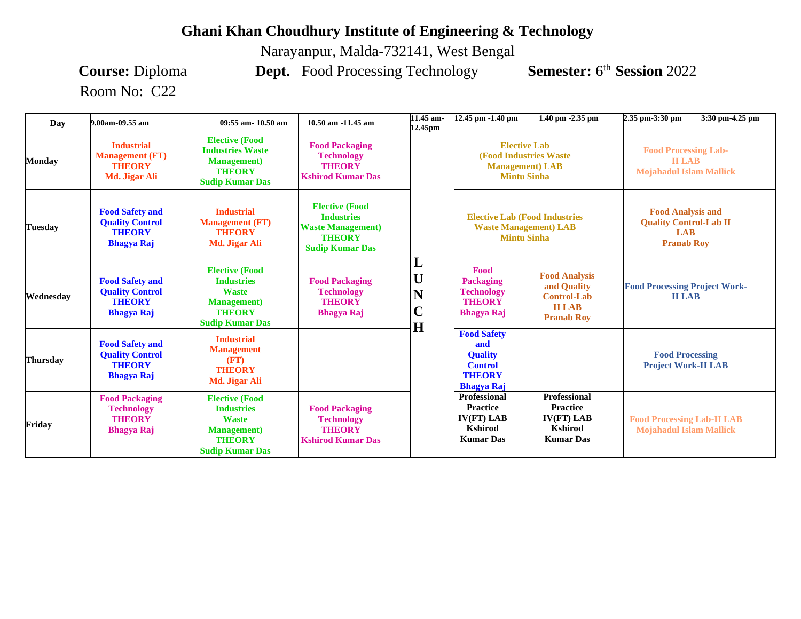#### **Ghani Khan Choudhury Institute of Engineering & Technology**

Narayanpur, Malda-732141, West Bengal

Room No: C22

**Course:** Diploma **Dept.** Food Processing Technology **Semester:** 6<sup>th</sup> Session 2022

| Day       | 9.00am-09.55 am                                                                        | 09:55 am-10.50 am                                                                                                            | 10.50 am -11.45 am                                                                                                 | 11.45 am-<br>12.45pm                   | 12.45 pm -1.40 pm                                                                                      | $1.40$ pm $-2.35$ pm                                                                            | 2.35 pm-3:30 pm                                                                              | 3:30 pm-4.25 pm |
|-----------|----------------------------------------------------------------------------------------|------------------------------------------------------------------------------------------------------------------------------|--------------------------------------------------------------------------------------------------------------------|----------------------------------------|--------------------------------------------------------------------------------------------------------|-------------------------------------------------------------------------------------------------|----------------------------------------------------------------------------------------------|-----------------|
| Mondav    | <b>Industrial</b><br><b>Management</b> (FT)<br><b>THEORY</b><br>Md. Jigar Ali          | <b>Elective (Food</b><br><b>Industries Waste</b><br><b>Management</b> )<br><b>THEORY</b><br><b>Sudip Kumar Das</b>           | <b>Food Packaging</b><br><b>Technology</b><br><b>THEORY</b><br><b>Kshirod Kumar Das</b>                            |                                        | <b>Elective Lab</b><br><b>(Food Industries Waste)</b><br><b>Management</b> ) LAB<br><b>Mintu Sinha</b> |                                                                                                 | <b>Food Processing Lab-</b><br><b>II LAB</b><br><b>Mojahadul Islam Mallick</b>               |                 |
| Tuesdav   | <b>Food Safety and</b><br><b>Quality Control</b><br><b>THEORY</b><br><b>Bhagya Raj</b> | <b>Industrial</b><br><b>Management</b> (FT)<br><b>THEORY</b><br>Md. Jigar Ali                                                | <b>Elective (Food</b><br><b>Industries</b><br><b>Waste Management</b> )<br><b>THEORY</b><br><b>Sudip Kumar Das</b> | L                                      | <b>Elective Lab (Food Industries)</b><br><b>Waste Management</b> ) LAB<br><b>Mintu Sinha</b>           |                                                                                                 | <b>Food Analysis and</b><br><b>Quality Control-Lab II</b><br><b>LAB</b><br><b>Pranab Roy</b> |                 |
| Wednesdav | <b>Food Safety and</b><br><b>Ouality Control</b><br><b>THEORY</b><br><b>Bhagya Raj</b> | <b>Elective (Food</b><br><b>Industries</b><br><b>Waste</b><br><b>Management</b> )<br><b>THEORY</b><br><b>Sudip Kumar Das</b> | <b>Food Packaging</b><br><b>Technology</b><br><b>THEORY</b><br><b>Bhagya Raj</b>                                   | U<br>N<br>$\overline{\mathbf{C}}$<br>H | Food<br><b>Packaging</b><br><b>Technology</b><br><b>THEORY</b><br><b>Bhagya Raj</b>                    | <b>Food Analysis</b><br>and Quality<br><b>Control-Lab</b><br><b>II LAB</b><br><b>Pranab Roy</b> | <b>Food Processing Project Work-</b><br><b>II LAB</b>                                        |                 |
| Thursdav  | <b>Food Safety and</b><br><b>Quality Control</b><br><b>THEORY</b><br><b>Bhagya Raj</b> | <b>Industrial</b><br><b>Management</b><br>(FT)<br><b>THEORY</b><br>Md. Jigar Ali                                             |                                                                                                                    |                                        | <b>Food Safety</b><br>and<br><b>Quality</b><br><b>Control</b><br><b>THEORY</b><br><b>Bhagya Raj</b>    |                                                                                                 | <b>Food Processing</b><br><b>Project Work-II LAB</b>                                         |                 |
| Fridav    | <b>Food Packaging</b><br><b>Technology</b><br><b>THEORY</b><br><b>Bhagya Raj</b>       | <b>Elective (Food</b><br><b>Industries</b><br><b>Waste</b><br><b>Management</b> )<br><b>THEORY</b><br><b>Sudip Kumar Das</b> | <b>Food Packaging</b><br><b>Technology</b><br><b>THEORY</b><br><b>Kshirod Kumar Das</b>                            |                                        | Professional<br><b>Practice</b><br>IV(FT) LAB<br><b>Kshirod</b><br><b>Kumar Das</b>                    | <b>Professional</b><br><b>Practice</b><br>IV(FT) LAB<br><b>Kshirod</b><br><b>Kumar Das</b>      | <b>Food Processing Lab-II LAB</b><br><b>Mojahadul Islam Mallick</b>                          |                 |